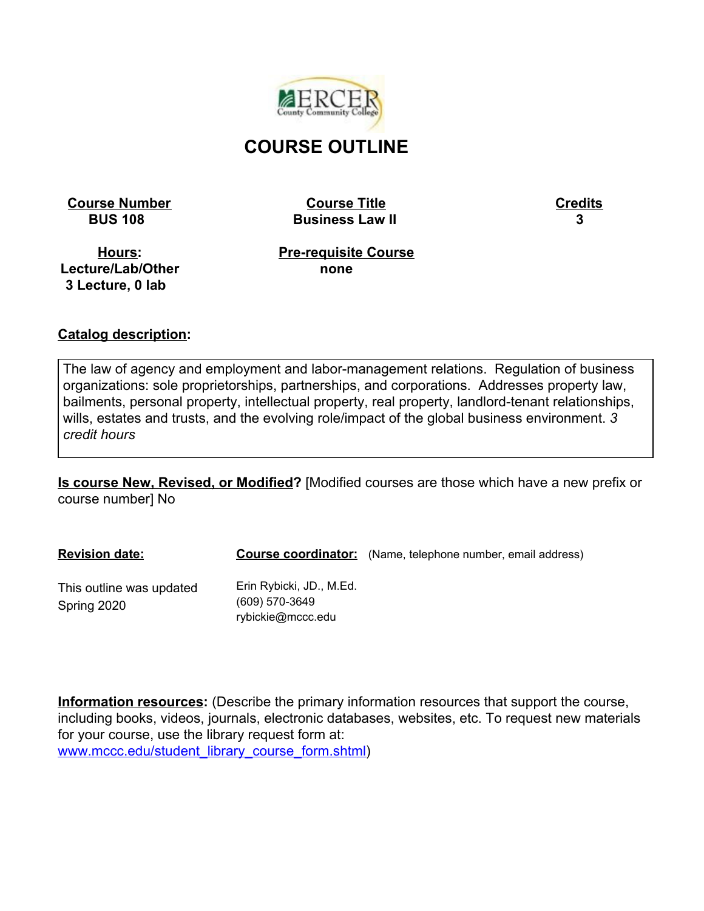

# **COURSE OUTLINE**

**Course Number Course Title Credits**

 **BUS 108 Business Law II 3**

**Hours: Lecture/Lab/Other 3 Lecture, 0 lab**

**Pre-requisite Course none**

#### **Catalog description:**

The law of agency and employment and labor-management relations. Regulation of business organizations: sole proprietorships, partnerships, and corporations. Addresses property law, bailments, personal property, intellectual property, real property, landlord-tenant relationships, wills, estates and trusts, and the evolving role/impact of the global business environment. *3 credit hours*

**Is course New, Revised, or Modified?** [Modified courses are those which have a new prefix or course number] No

| <b>Revision date:</b>                   |                                                                 | <b>Course coordinator:</b> (Name, telephone number, email address) |
|-----------------------------------------|-----------------------------------------------------------------|--------------------------------------------------------------------|
| This outline was updated<br>Spring 2020 | Erin Rybicki, JD., M.Ed.<br>(609) 570-3649<br>rybickie@mccc.edu |                                                                    |

**Information resources:** (Describe the primary information resources that support the course, including books, videos, journals, electronic databases, websites, etc. To request new materials for your course, use the library request form at: [www.mccc.edu/student\\_library\\_course\\_form.shtml\)](http://www.mccc.edu/student_library_course_form.shtml)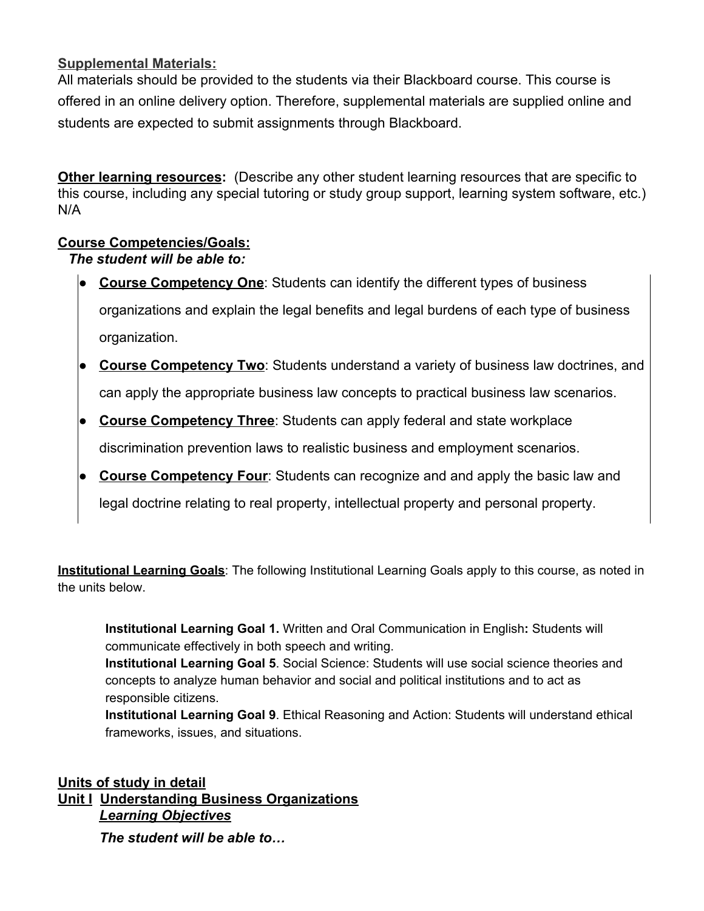#### **Supplemental Materials:**

All materials should be provided to the students via their Blackboard course. This course is offered in an online delivery option. Therefore, supplemental materials are supplied online and students are expected to submit assignments through Blackboard.

**Other learning resources:** (Describe any other student learning resources that are specific to this course, including any special tutoring or study group support, learning system software, etc.) N/A

### **Course Competencies/Goals:**

#### *The student will be able to:*

- **Course Competency One**: Students can identify the different types of business organizations and explain the legal benefits and legal burdens of each type of business organization.
- **Course Competency Two**: Students understand a variety of business law doctrines, and can apply the appropriate business law concepts to practical business law scenarios.
- **Course Competency Three**: Students can apply federal and state workplace discrimination prevention laws to realistic business and employment scenarios.
- **Course Competency Four:** Students can recognize and and apply the basic law and legal doctrine relating to real property, intellectual property and personal property.

**Institutional Learning Goals**: The following Institutional Learning Goals apply to this course, as noted in the units below.

**Institutional Learning Goal 1.** Written and Oral Communication in English**:** Students will communicate effectively in both speech and writing.

**Institutional Learning Goal 5**. Social Science: Students will use social science theories and concepts to analyze human behavior and social and political institutions and to act as responsible citizens.

**Institutional Learning Goal 9**. Ethical Reasoning and Action: Students will understand ethical frameworks, issues, and situations.

**Units of study in detail Unit I Understanding Business Organizations** *Learning Objectives*

*The student will be able to…*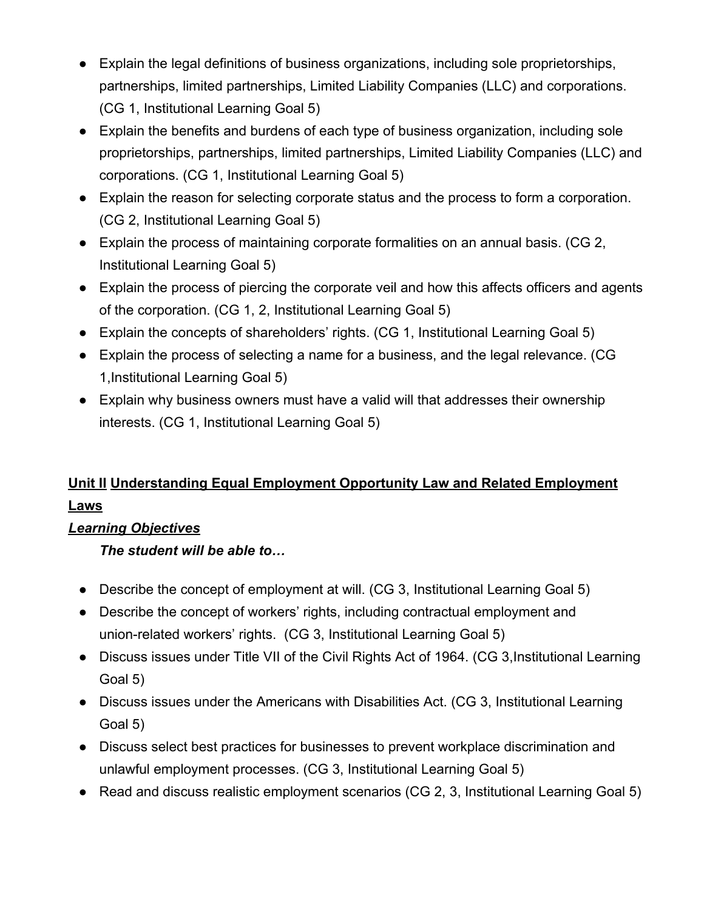- Explain the legal definitions of business organizations, including sole proprietorships, partnerships, limited partnerships, Limited Liability Companies (LLC) and corporations. (CG 1, Institutional Learning Goal 5)
- Explain the benefits and burdens of each type of business organization, including sole proprietorships, partnerships, limited partnerships, Limited Liability Companies (LLC) and corporations. (CG 1, Institutional Learning Goal 5)
- Explain the reason for selecting corporate status and the process to form a corporation. (CG 2, Institutional Learning Goal 5)
- Explain the process of maintaining corporate formalities on an annual basis. (CG 2, Institutional Learning Goal 5)
- Explain the process of piercing the corporate veil and how this affects officers and agents of the corporation. (CG 1, 2, Institutional Learning Goal 5)
- Explain the concepts of shareholders' rights. (CG 1, Institutional Learning Goal 5)
- Explain the process of selecting a name for a business, and the legal relevance. (CG 1,Institutional Learning Goal 5)
- Explain why business owners must have a valid will that addresses their ownership interests. (CG 1, Institutional Learning Goal 5)

# **Unit II Understanding Equal Employment Opportunity Law and Related Employment Laws**

## *Learning Objectives*

*The student will be able to…*

- Describe the concept of employment at will. (CG 3, Institutional Learning Goal 5)
- Describe the concept of workers' rights, including contractual employment and union-related workers' rights. (CG 3, Institutional Learning Goal 5)
- Discuss issues under Title VII of the Civil Rights Act of 1964. (CG 3, Institutional Learning Goal 5)
- Discuss issues under the Americans with Disabilities Act. (CG 3, Institutional Learning Goal 5)
- Discuss select best practices for businesses to prevent workplace discrimination and unlawful employment processes. (CG 3, Institutional Learning Goal 5)
- Read and discuss realistic employment scenarios (CG 2, 3, Institutional Learning Goal 5)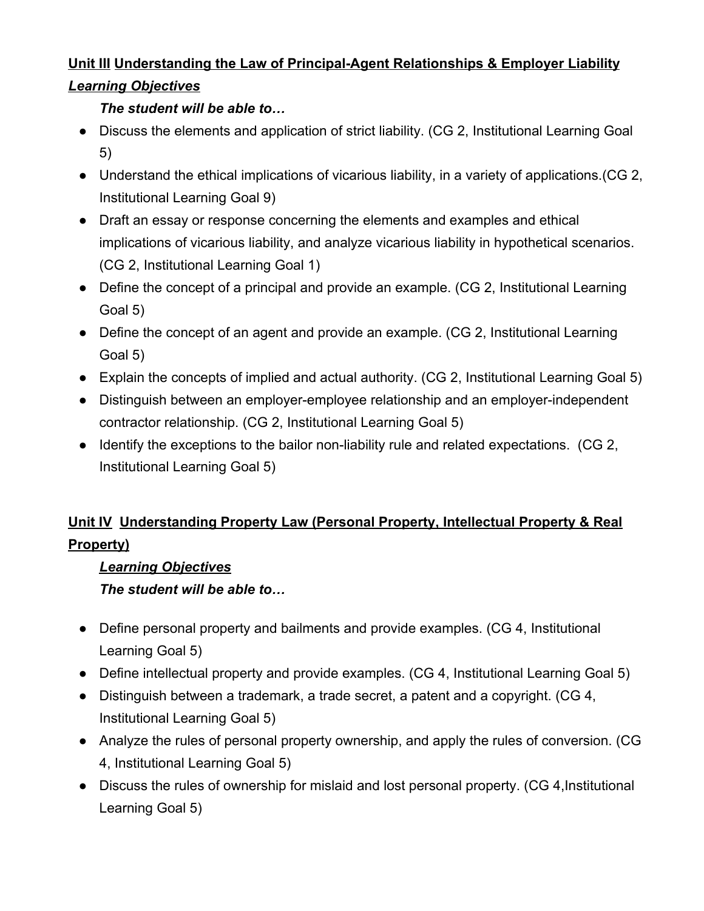# **Unit III Understanding the Law of Principal-Agent Relationships & Employer Liability** *Learning Objectives*

## *The student will be able to…*

- Discuss the elements and application of strict liability. (CG 2, Institutional Learning Goal 5)
- Understand the ethical implications of vicarious liability, in a variety of applications.(CG 2, Institutional Learning Goal 9)
- Draft an essay or response concerning the elements and examples and ethical implications of vicarious liability, and analyze vicarious liability in hypothetical scenarios. (CG 2, Institutional Learning Goal 1)
- Define the concept of a principal and provide an example. (CG 2, Institutional Learning Goal 5)
- Define the concept of an agent and provide an example. (CG 2, Institutional Learning Goal 5)
- Explain the concepts of implied and actual authority. (CG 2, Institutional Learning Goal 5)
- Distinguish between an employer-employee relationship and an employer-independent contractor relationship. (CG 2, Institutional Learning Goal 5)
- Identify the exceptions to the bailor non-liability rule and related expectations. (CG 2, Institutional Learning Goal 5)

# **Unit IV Understanding Property Law (Personal Property, Intellectual Property & Real Property)**

## *Learning Objectives*

*The student will be able to…*

- Define personal property and bailments and provide examples. (CG 4, Institutional Learning Goal 5)
- Define intellectual property and provide examples. (CG 4, Institutional Learning Goal 5)
- Distinguish between a trademark, a trade secret, a patent and a copyright. (CG 4, Institutional Learning Goal 5)
- Analyze the rules of personal property ownership, and apply the rules of conversion. (CG 4, Institutional Learning Goal 5)
- Discuss the rules of ownership for mislaid and lost personal property. (CG 4,Institutional Learning Goal 5)